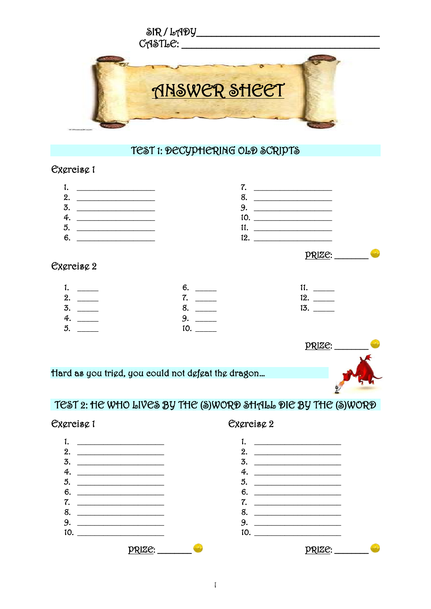

## TEST 1: DECYPHERING OLD SCRIPTS

#### Excreisc 1

| ι.<br><u> 1989 - Johann John Stone, mars et al. 1989 - John Stone, mars et al. 1989 - John Stone, mars et al. 1989 - John Stone</u> |                                                                                                                                                                                                                                      |
|-------------------------------------------------------------------------------------------------------------------------------------|--------------------------------------------------------------------------------------------------------------------------------------------------------------------------------------------------------------------------------------|
| 2.                                                                                                                                  |                                                                                                                                                                                                                                      |
| 3.<br><u> 1989 - Johann Harry Barn, mars ar breithinn ar breithinn an dùthchan an dùthchan an dùthchan an dùthchan an dù</u>        |                                                                                                                                                                                                                                      |
| 4.                                                                                                                                  |                                                                                                                                                                                                                                      |
| 5.                                                                                                                                  | <u>and the state of the state of the state of the state of the state of the state of the state of the state of the state of the state of the state of the state of the state of the state of the state of the state of the state</u> |
| 6.                                                                                                                                  | 1ດ                                                                                                                                                                                                                                   |

### **Excreisc 2**

| 1. | 6. |     |
|----|----|-----|
| 2. |    | 12. |
| 3. |    | 13. |
| 4. | Q  |     |
| 5. |    |     |



# TEST 2: HE WHO LIVES BY THE (S)WORD SHALL DIE BY THE (S)WORD



### Cxcreisc 2

 $PRIZE:$